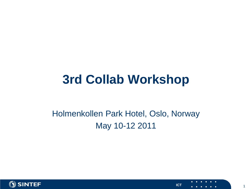## **3rd Collab Workshop**

Holmenkollen Park Hotel, Oslo, Norway May 10-12 2011

**ICT**

. . . . .

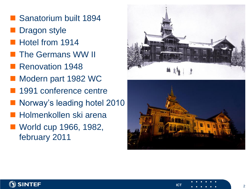- Sanatorium built 1894
- Dragon style
- Hotel from 1914
- The Germans WW II
- Renovation 1948
- Modern part 1982 WC
- 1991 conference centre
- Norway's leading hotel 2010
- **Holmenkollen ski arena**
- **World cup 1966, 1982,** february 2011





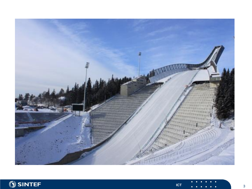

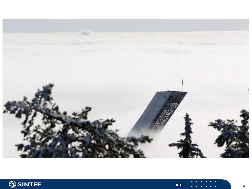

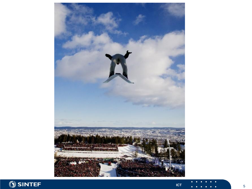

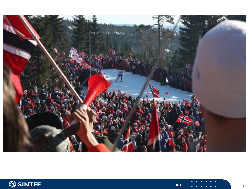

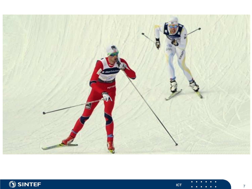

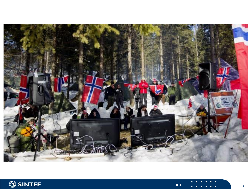

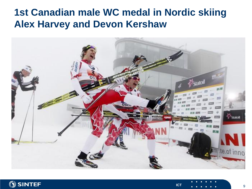#### **1st Canadian male WC medal in Nordic skiing Alex Harvey and Devon Kershaw**





**ICT**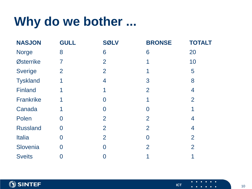## **Why do we bother ...**

| <b>NASJON</b>    | <b>GULL</b>    | <b>SØLV</b>    | <b>BRONSE</b>  | <b>TOTALT</b>  |
|------------------|----------------|----------------|----------------|----------------|
| <b>Norge</b>     | 8              | 6              | 6              | 20             |
| Østerrike        | 7              | $\overline{2}$ |                | 10             |
| <b>Sverige</b>   | $\overline{2}$ | $\overline{2}$ |                | 5              |
| <b>Tyskland</b>  |                | 4              | 3              | 8              |
| <b>Finland</b>   |                |                | $\overline{2}$ | 4              |
| <b>Frankrike</b> |                | O              |                | $\overline{2}$ |
| Canada           |                | O              | 0              |                |
| Polen            | O              | $\overline{2}$ | $\overline{2}$ | 4              |
| <b>Russland</b>  | O              | $\overline{2}$ | $\overline{2}$ | 4              |
| <b>Italia</b>    | O              | $\overline{2}$ | $\Omega$       | $\overline{2}$ |
| Slovenia         | O              | O              | $\overline{2}$ | $\overline{2}$ |
| <b>Sveits</b>    |                |                |                |                |



**ICT**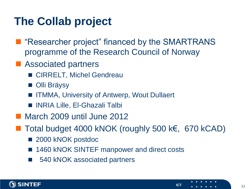### **The Collab project**

- "Researcher project" financed by the SMARTRANS programme of the Research Council of Norway
- **Associated partners** 
	- CIRRELT, Michel Gendreau
	- Olli Bräysy
	- ITMMA, University of Antwerp, Wout Dullaert
	- INRIA Lille, El-Ghazali Talbi
- March 2009 until June 2012
	- Total budget 4000 kNOK (roughly 500 k€, 670 kCAD)
		- 2000 kNOK postdoc
		- 1460 kNOK SINTEF manpower and direct costs
		- 540 kNOK associated partners

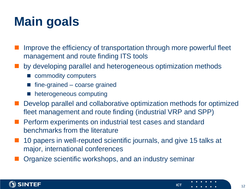# **Main goals**

- Improve the efficiency of transportation through more powerful fleet management and route finding ITS tools
- by developing parallel and heterogeneous optimization methods
	- commodity computers
	- fine-grained coarse grained
	- heterogeneous computing
- Develop parallel and collaborative optimization methods for optimized fleet management and route finding (industrial VRP and SPP)
- Perform experiments on industrial test cases and standard benchmarks from the literature
- 10 papers in well-reputed scientific journals, and give 15 talks at major, international conferences
- Organize scientific workshops, and an industry seminar